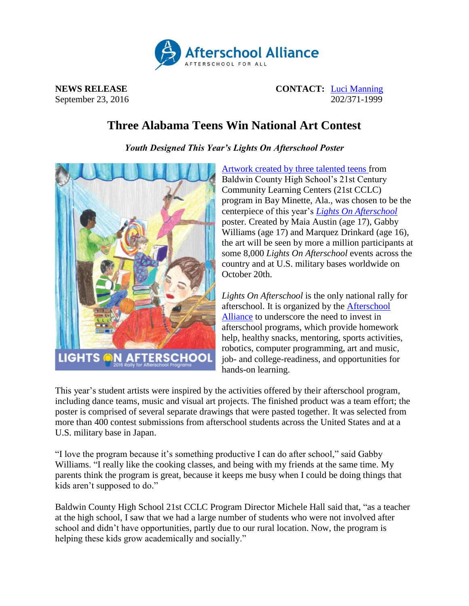

**NEWS RELEASE CONTACT:** [Luci Manning](mailto:luci@prsolutionsdc.com) September 23, 2016 202/371-1999

## **Three Alabama Teens Win National Art Contest**

*Youth Designed This Year's Lights On Afterschool Poster*



[Artwork created by three talented teens](http://www.afterschoolalliance.org/afterschoolSnack/Announcing-the-winner-of-the-national-Lights-On-Afterschool_08-24-2016.cfm) from Baldwin County High School's 21st Century Community Learning Centers (21st CCLC) program in Bay Minette, Ala., was chosen to be the centerpiece of this year's *[Lights On Afterschool](http://www.afterschoolalliance.org/loa.cfm)* poster. Created by Maia Austin (age 17), Gabby Williams (age 17) and Marquez Drinkard (age 16), the art will be seen by more a million participants at some 8,000 *Lights On Afterschool* events across the country and at U.S. military bases worldwide on October 20th.

*Lights On Afterschool* is the only national rally for afterschool. It is organized by the [Afterschool](http://www.afterschoolalliance.org/)  [Alliance](http://www.afterschoolalliance.org/) to underscore the need to invest in afterschool programs, which provide homework help, healthy snacks, mentoring, sports activities, robotics, computer programming, art and music, job- and college-readiness, and opportunities for hands-on learning.

This year's student artists were inspired by the activities offered by their afterschool program, including dance teams, music and visual art projects. The finished product was a team effort; the poster is comprised of several separate drawings that were pasted together. It was selected from more than 400 contest submissions from afterschool students across the United States and at a U.S. military base in Japan.

"I love the program because it's something productive I can do after school," said Gabby Williams. "I really like the cooking classes, and being with my friends at the same time. My parents think the program is great, because it keeps me busy when I could be doing things that kids aren't supposed to do."

Baldwin County High School 21st CCLC Program Director Michele Hall said that, "as a teacher at the high school, I saw that we had a large number of students who were not involved after school and didn't have opportunities, partly due to our rural location. Now, the program is helping these kids grow academically and socially."